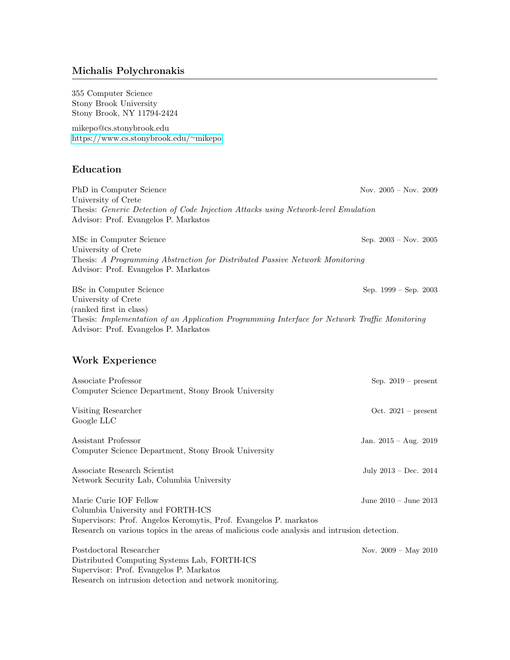# Michalis Polychronakis

355 Computer Science Stony Brook University Stony Brook, NY 11794-2424

mikepo@cs.stonybrook.edu [https://www.cs.stonybrook.edu/](https://www.cs.stonybrook.edu/~mikepo)∼mikepo

## Education

PhD in Computer Science Nov. 2005 – Nov. 2009 University of Crete Thesis: Generic Detection of Code Injection Attacks using Network-level Emulation Advisor: Prof. Evangelos P. Markatos MSc in Computer Science Sep. 2003 – Nov. 2005 University of Crete

Thesis: A Programming Abstraction for Distributed Passive Network Monitoring Advisor: Prof. Evangelos P. Markatos BSc in Computer Science Sep. 1999 – Sep. 2003 University of Crete (ranked first in class)

Thesis: Implementation of an Application Programming Interface for Network Traffic Monitoring Advisor: Prof. Evangelos P. Markatos

# Work Experience

| Associate Professor                                                                         | Sep. $2019$ – present     |
|---------------------------------------------------------------------------------------------|---------------------------|
| Computer Science Department, Stony Brook University                                         |                           |
| Visiting Researcher                                                                         | Oct. $2021$ – present     |
| Google LLC                                                                                  |                           |
| Assistant Professor                                                                         | Jan. $2015 - Aug. 2019$   |
| Computer Science Department, Stony Brook University                                         |                           |
| Associate Research Scientist                                                                | July $2013 - Dec. 2014$   |
| Network Security Lab, Columbia University                                                   |                           |
| Marie Curie IOF Fellow                                                                      | June $2010 -$ June $2013$ |
| Columbia University and FORTH-ICS                                                           |                           |
| Supervisors: Prof. Angelos Keromytis, Prof. Evangelos P. markatos                           |                           |
| Research on various topics in the areas of malicious code analysis and intrusion detection. |                           |
| Postdoctoral Researcher                                                                     | Nov. $2009 - May 2010$    |
| Distributed Computing Systems Lab, FORTH-ICS                                                |                           |
| Supervisor: Prof. Evangelos P. Markatos                                                     |                           |
| Research on intrusion detection and network monitoring.                                     |                           |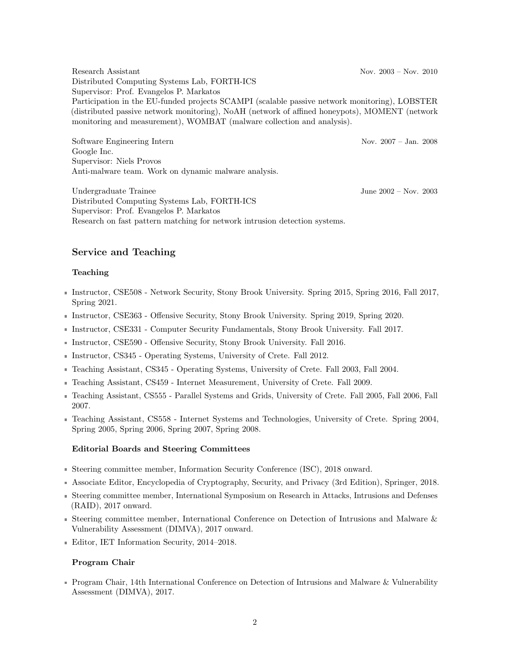Research Assistant Nov. 2003 – Nov. 2010 Distributed Computing Systems Lab, FORTH-ICS Supervisor: Prof. Evangelos P. Markatos Participation in the EU-funded projects SCAMPI (scalable passive network monitoring), LOBSTER (distributed passive network monitoring), NoAH (network of affined honeypots), MOMENT (network monitoring and measurement), WOMBAT (malware collection and analysis).

Software Engineering Intern Nov. 2007 – Jan. 2008 Google Inc. Supervisor: Niels Provos Anti-malware team. Work on dynamic malware analysis.

Undergraduate Trainee June 2002 – Nov. 2003 Distributed Computing Systems Lab, FORTH-ICS Supervisor: Prof. Evangelos P. Markatos Research on fast pattern matching for network intrusion detection systems.

# Service and Teaching

# Teaching

- Instructor, CSE508 Network Security, Stony Brook University. Spring 2015, Spring 2016, Fall 2017, Spring 2021.
- Instructor, CSE363 Offensive Security, Stony Brook University. Spring 2019, Spring 2020.
- Instructor, CSE331 Computer Security Fundamentals, Stony Brook University. Fall 2017.
- Instructor, CSE590 Offensive Security, Stony Brook University. Fall 2016.
- Instructor, CS345 Operating Systems, University of Crete. Fall 2012.
- Teaching Assistant, CS345 Operating Systems, University of Crete. Fall 2003, Fall 2004.
- Teaching Assistant, CS459 Internet Measurement, University of Crete. Fall 2009.
- Teaching Assistant, CS555 Parallel Systems and Grids, University of Crete. Fall 2005, Fall 2006, Fall 2007.
- Teaching Assistant, CS558 Internet Systems and Technologies, University of Crete. Spring 2004, Spring 2005, Spring 2006, Spring 2007, Spring 2008.

## Editorial Boards and Steering Committees

- Steering committee member, Information Security Conference (ISC), 2018 onward.
- Associate Editor, Encyclopedia of Cryptography, Security, and Privacy (3rd Edition), Springer, 2018.
- Steering committee member, International Symposium on Research in Attacks, Intrusions and Defenses (RAID), 2017 onward.
- Steering committee member, International Conference on Detection of Intrusions and Malware  $\&$ Vulnerability Assessment (DIMVA), 2017 onward.
- Editor, IET Information Security, 2014–2018.

## Program Chair

Program Chair, 14th International Conference on Detection of Intrusions and Malware & Vulnerability Assessment (DIMVA), 2017.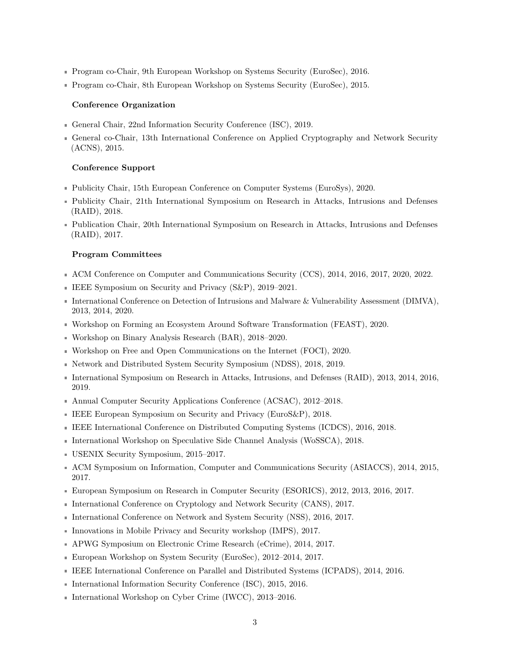- Program co-Chair, 9th European Workshop on Systems Security (EuroSec), 2016.
- Program co-Chair, 8th European Workshop on Systems Security (EuroSec), 2015.

#### Conference Organization

- General Chair, 22nd Information Security Conference (ISC), 2019.
- General co-Chair, 13th International Conference on Applied Cryptography and Network Security (ACNS), 2015.

#### Conference Support

- Publicity Chair, 15th European Conference on Computer Systems (EuroSys), 2020.
- Publicity Chair, 21th International Symposium on Research in Attacks, Intrusions and Defenses (RAID), 2018.
- Publication Chair, 20th International Symposium on Research in Attacks, Intrusions and Defenses (RAID), 2017.

#### Program Committees

- ACM Conference on Computer and Communications Security (CCS), 2014, 2016, 2017, 2020, 2022.
- IEEE Symposium on Security and Privacy (S&P), 2019–2021.
- International Conference on Detection of Intrusions and Malware & Vulnerability Assessment (DIMVA), 2013, 2014, 2020.
- Workshop on Forming an Ecosystem Around Software Transformation (FEAST), 2020.
- Workshop on Binary Analysis Research (BAR), 2018–2020.
- Workshop on Free and Open Communications on the Internet (FOCI), 2020.
- Network and Distributed System Security Symposium (NDSS), 2018, 2019.
- International Symposium on Research in Attacks, Intrusions, and Defenses (RAID), 2013, 2014, 2016, 2019.
- Annual Computer Security Applications Conference (ACSAC), 2012–2018.
- IEEE European Symposium on Security and Privacy (EuroS&P), 2018.
- IEEE International Conference on Distributed Computing Systems (ICDCS), 2016, 2018.
- International Workshop on Speculative Side Channel Analysis (WoSSCA), 2018.
- USENIX Security Symposium, 2015–2017.
- ACM Symposium on Information, Computer and Communications Security (ASIACCS), 2014, 2015, 2017.
- European Symposium on Research in Computer Security (ESORICS), 2012, 2013, 2016, 2017.
- International Conference on Cryptology and Network Security (CANS), 2017.
- International Conference on Network and System Security (NSS), 2016, 2017.
- Innovations in Mobile Privacy and Security workshop (IMPS), 2017.
- APWG Symposium on Electronic Crime Research (eCrime), 2014, 2017.
- European Workshop on System Security (EuroSec), 2012–2014, 2017.
- IEEE International Conference on Parallel and Distributed Systems (ICPADS), 2014, 2016.
- International Information Security Conference (ISC), 2015, 2016.
- International Workshop on Cyber Crime (IWCC), 2013–2016.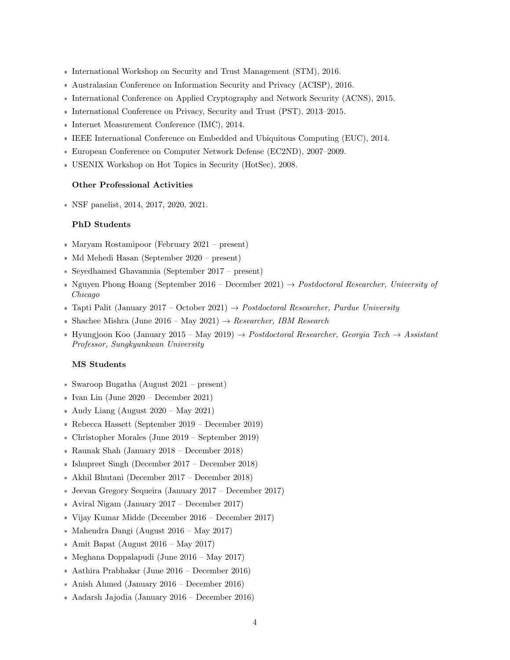- International Workshop on Security and Trust Management (STM), 2016.
- Australasian Conference on Information Security and Privacy (ACISP), 2016.
- International Conference on Applied Cryptography and Network Security (ACNS), 2015.
- International Conference on Privacy, Security and Trust (PST), 2013–2015.
- Internet Measurement Conference (IMC), 2014.
- IEEE International Conference on Embedded and Ubiquitous Computing (EUC), 2014.
- European Conference on Computer Network Defense (EC2ND), 2007–2009.
- USENIX Workshop on Hot Topics in Security (HotSec), 2008.

#### Other Professional Activities

NSF panelist, 2014, 2017, 2020, 2021.

## PhD Students

- Maryam Rostamipoor (February 2021 present)
- $\blacksquare$  Md Mehedi Hasan (September 2020 present)
- Seyedhamed Ghavamnia (September 2017 present)
- Nguyen Phong Hoang (September 2016 December 2021)  $\rightarrow$  Postdoctoral Researcher, University of Chicago
- Tapti Palit (January 2017 October 2021)  $\rightarrow$  Postdoctoral Researcher, Purdue University
- Shachee Mishra (June 2016 May 2021)  $\rightarrow$  Researcher, IBM Research
- Hyungjoon Koo (January 2015 May 2019)  $\rightarrow$  Postdoctoral Researcher, Georgia Tech  $\rightarrow$  Assistant Professor, Sungkyunkwan University

#### MS Students

- Swaroop Bugatha (August 2021 present)
- Ivan Lin (June  $2020$  December 2021)
- Andy Liang (August  $2020 May 2021$ )
- Rebecca Hassett (September 2019 December 2019)
- Christopher Morales (June 2019 September 2019)
- Raunak Shah (January 2018 December 2018)
- Ishupreet Singh (December 2017 December 2018)
- Akhil Bhutani (December 2017 December 2018)
- Jeevan Gregory Sequeira (January 2017 December 2017)
- Aviral Nigam (January 2017 December 2017)
- Vijay Kumar Midde (December 2016 December 2017)
- $\blacksquare$  Mahendra Dangi (August 2016 May 2017)
- Amit Bapat (August  $2016 \text{May } 2017$ )
- $\blacksquare$  Meghana Doppalapudi (June 2016 May 2017)
- Aathira Prabhakar (June 2016 December 2016)
- Anish Ahmed (January 2016 December 2016)
- Aadarsh Jajodia (January 2016 December 2016)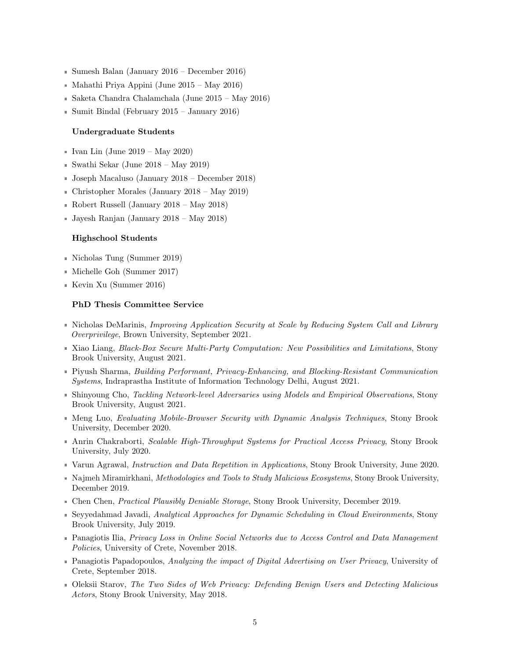- Sumesh Balan (January 2016 December 2016)
- $\blacksquare$  Mahathi Priya Appini (June 2015 May 2016)
- Saketa Chandra Chalamchala (June 2015 May 2016)
- $\blacksquare$  Sumit Bindal (February 2015 January 2016)

#### Undergraduate Students

- Ivan Lin (June  $2019 May 2020$ )
- $\blacksquare$  Swathi Sekar (June 2018 May 2019)
- Joseph Macaluso (January 2018 December 2018)
- Christopher Morales (January 2018 May 2019)
- Robert Russell (January 2018 May 2018)
- Jayesh Ranjan (January 2018 May 2018)

#### Highschool Students

- Nicholas Tung (Summer 2019)
- Michelle Goh (Summer 2017)
- Kevin Xu (Summer 2016)

#### PhD Thesis Committee Service

- Nicholas DeMarinis, Improving Application Security at Scale by Reducing System Call and Library Overprivilege, Brown University, September 2021.
- Xiao Liang, Black-Box Secure Multi-Party Computation: New Possibilities and Limitations, Stony Brook University, August 2021.
- Piyush Sharma, Building Performant, Privacy-Enhancing, and Blocking-Resistant Communication Systems, Indraprastha Institute of Information Technology Delhi, August 2021.
- Shinyoung Cho, Tackling Network-level Adversaries using Models and Empirical Observations, Stony Brook University, August 2021.
- **Meng Luo, Evaluating Mobile-Browser Security with Dynamic Analysis Techniques, Stony Brook** University, December 2020.
- **Anrin Chakraborti, Scalable High-Throughput Systems for Practical Access Privacy, Stony Brook** University, July 2020.
- Varun Agrawal, *Instruction and Data Repetition in Applications*, Stony Brook University, June 2020.
- Najmeh Miramirkhani, Methodologies and Tools to Study Malicious Ecosystems, Stony Brook University, December 2019.
- **Chen Chen, Practical Plausibly Deniable Storage, Stony Brook University, December 2019.**
- Seyyedahmad Javadi, Analytical Approaches for Dynamic Scheduling in Cloud Environments, Stony Brook University, July 2019.
- **Panagiotis Ilia, Privacy Loss in Online Social Networks due to Access Control and Data Management** Policies, University of Crete, November 2018.
- **Panagiotis Papadopoulos, Analyzing the impact of Digital Advertising on User Privacy, University of** Crete, September 2018.
- Oleksii Starov, The Two Sides of Web Privacy: Defending Benign Users and Detecting Malicious Actors, Stony Brook University, May 2018.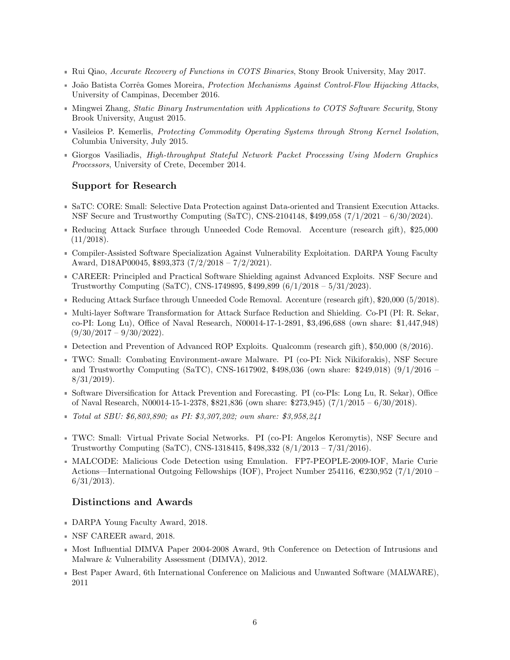- Rui Qiao, Accurate Recovery of Functions in COTS Binaries, Stony Brook University, May 2017.
- João Batista Corrêa Gomes Moreira, Protection Mechanisms Against Control-Flow Hijacking Attacks, University of Campinas, December 2016.
- Mingwei Zhang, Static Binary Instrumentation with Applications to COTS Software Security, Stony Brook University, August 2015.
- Vasileios P. Kemerlis, Protecting Commodity Operating Systems through Strong Kernel Isolation, Columbia University, July 2015.
- Giorgos Vasiliadis, High-throughput Stateful Network Packet Processing Using Modern Graphics Processors, University of Crete, December 2014.

# Support for Research

- SaTC: CORE: Small: Selective Data Protection against Data-oriented and Transient Execution Attacks. NSF Secure and Trustworthy Computing (SaTC), CNS-2104148, \$499,058 (7/1/2021 – 6/30/2024).
- Reducing Attack Surface through Unneeded Code Removal. Accenture (research gift), \$25,000  $(11/2018).$
- Compiler-Assisted Software Specialization Against Vulnerability Exploitation. DARPA Young Faculty Award, D18AP00045, \$893,373 (7/2/2018 – 7/2/2021).
- CAREER: Principled and Practical Software Shielding against Advanced Exploits. NSF Secure and Trustworthy Computing (SaTC), CNS-1749895, \$499,899 (6/1/2018 – 5/31/2023).
- Reducing Attack Surface through Unneeded Code Removal. Accenture (research gift), \$20,000 (5/2018).
- Multi-layer Software Transformation for Attack Surface Reduction and Shielding. Co-PI (PI: R. Sekar, co-PI: Long Lu), Office of Naval Research, N00014-17-1-2891, \$3,496,688 (own share: \$1,447,948)  $(9/30/2017 - 9/30/2022)$ .
- Detection and Prevention of Advanced ROP Exploits. Qualcomm (research gift), \$50,000 (8/2016).
- TWC: Small: Combating Environment-aware Malware. PI (co-PI: Nick Nikiforakis), NSF Secure and Trustworthy Computing (SaTC), CNS-1617902, \$498,036 (own share: \$249,018) (9/1/2016 –  $8/31/2019$ .
- Software Diversification for Attack Prevention and Forecasting. PI (co-PIs: Long Lu, R. Sekar), Office of Naval Research, N00014-15-1-2378, \$821,836 (own share: \$273,945) (7/1/2015 – 6/30/2018).
- Total at SBU: \$6,803,890; as PI: \$3,307,202; own share: \$3,958,241
- TWC: Small: Virtual Private Social Networks. PI (co-PI: Angelos Keromytis), NSF Secure and Trustworthy Computing (SaTC), CNS-1318415, \$498,332 (8/1/2013 – 7/31/2016).
- MALCODE: Malicious Code Detection using Emulation. FP7-PEOPLE-2009-IOF, Marie Curie Actions—International Outgoing Fellowships (IOF), Project Number 254116,  $\text{\textcircled{230,952}}$  (7/1/2010 – 6/31/2013).

## Distinctions and Awards

- DARPA Young Faculty Award, 2018.
- NSF CAREER award, 2018.
- Most Influential DIMVA Paper 2004-2008 Award, 9th Conference on Detection of Intrusions and Malware & Vulnerability Assessment (DIMVA), 2012.
- Best Paper Award, 6th International Conference on Malicious and Unwanted Software (MALWARE), 2011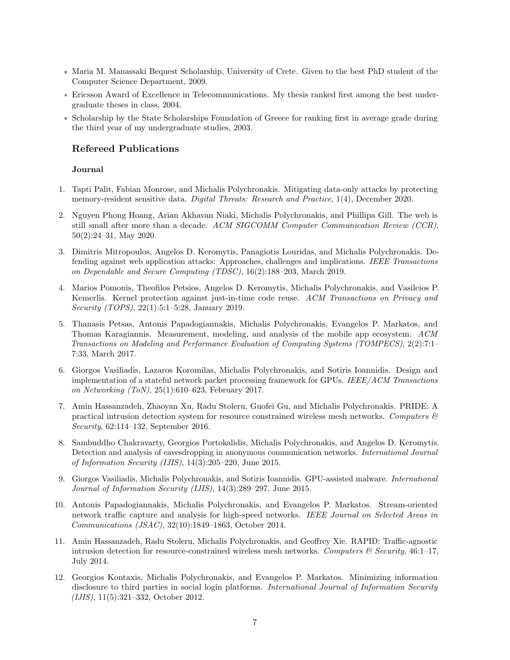- Maria M. Manassaki Bequest Scholarship, University of Crete. Given to the best PhD student of the Computer Science Department, 2009.
- Ericsson Award of Excellence in Telecommunications. My thesis ranked first among the best undergraduate theses in class, 2004.
- Scholarship by the State Scholarships Foundation of Greece for ranking first in average grade during the third year of my undergraduate studies, 2003.

# Refereed Publications

### Journal

- 1. Tapti Palit, Fabian Monrose, and Michalis Polychronakis. Mitigating data-only attacks by protecting memory-resident sensitive data. *Digital Threats: Research and Practice*, 1(4), December 2020.
- 2. Nguyen Phong Hoang, Arian Akhavan Niaki, Michalis Polychronakis, and Phillipa Gill. The web is still small after more than a decade. ACM SIGCOMM Computer Communication Review (CCR), 50(2):24–31, May 2020.
- 3. Dimitris Mitropoulos, Angelos D. Keromytis, Panagiotis Louridas, and Michalis Polychronakis. Defending against web application attacks: Approaches, challenges and implications. IEEE Transactions on Dependable and Secure Computing (TDSC), 16(2):188–203, March 2019.
- 4. Marios Pomonis, Theofilos Petsios, Angelos D. Keromytis, Michalis Polychronakis, and Vasileios P. Kemerlis. Kernel protection against just-in-time code reuse. ACM Transactions on Privacy and Security (TOPS), 22(1):5:1–5:28, January 2019.
- 5. Thanasis Petsas, Antonis Papadogiannakis, Michalis Polychronakis, Evangelos P. Markatos, and Thomas Karagiannis. Measurement, modeling, and analysis of the mobile app ecosystem. ACM Transactions on Modeling and Performance Evaluation of Computing Systems (TOMPECS), 2(2):7:1– 7:33, March 2017.
- 6. Giorgos Vasiliadis, Lazaros Koromilas, Michalis Polychronakis, and Sotiris Ioannidis. Design and implementation of a stateful network packet processing framework for GPUs. IEEE/ACM Transactions on Networking (ToN), 25(1):610–623, February 2017.
- 7. Amin Hassanzadeh, Zhaoyan Xu, Radu Stoleru, Guofei Gu, and Michalis Polychronakis. PRIDE: A practical intrusion detection system for resource constrained wireless mesh networks. Computers  $\mathcal{B}$ Security, 62:114–132, September 2016.
- 8. Sambuddho Chakravarty, Georgios Portokalidis, Michalis Polychronakis, and Angelos D. Keromytis. Detection and analysis of eavesdropping in anonymous communication networks. *International Journal* of Information Security (IJIS), 14(3):205–220, June 2015.
- 9. Giorgos Vasiliadis, Michalis Polychronakis, and Sotiris Ioannidis. GPU-assisted malware. International Journal of Information Security (IJIS), 14(3):289–297, June 2015.
- 10. Antonis Papadogiannakis, Michalis Polychronakis, and Evangelos P. Markatos. Stream-oriented network traffic capture and analysis for high-speed networks. IEEE Journal on Selected Areas in Communications (JSAC), 32(10):1849–1863, October 2014.
- 11. Amin Hassanzadeh, Radu Stoleru, Michalis Polychronakis, and Geoffrey Xie. RAPID: Traffic-agnostic intrusion detection for resource-constrained wireless mesh networks. Computers  $\mathcal C$  Security, 46:1–17, July 2014.
- 12. Georgios Kontaxis, Michalis Polychronakis, and Evangelos P. Markatos. Minimizing information disclosure to third parties in social login platforms. International Journal of Information Security (IJIS), 11(5):321–332, October 2012.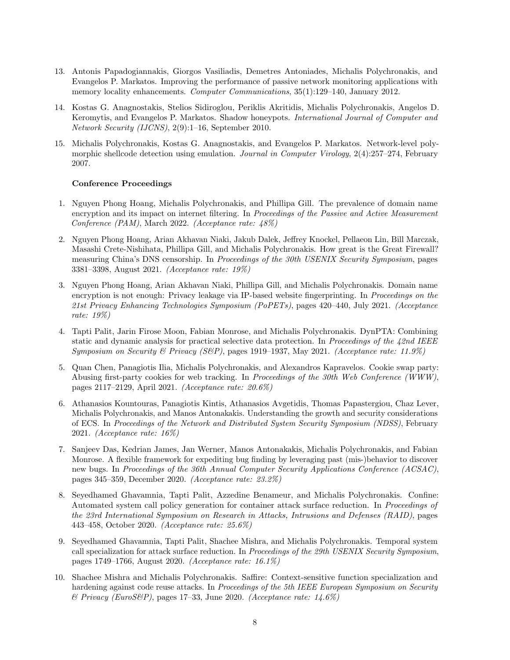- 13. Antonis Papadogiannakis, Giorgos Vasiliadis, Demetres Antoniades, Michalis Polychronakis, and Evangelos P. Markatos. Improving the performance of passive network monitoring applications with memory locality enhancements. Computer Communications, 35(1):129–140, January 2012.
- 14. Kostas G. Anagnostakis, Stelios Sidiroglou, Periklis Akritidis, Michalis Polychronakis, Angelos D. Keromytis, and Evangelos P. Markatos. Shadow honeypots. International Journal of Computer and Network Security (IJCNS), 2(9):1–16, September 2010.
- 15. Michalis Polychronakis, Kostas G. Anagnostakis, and Evangelos P. Markatos. Network-level polymorphic shellcode detection using emulation. *Journal in Computer Virology*, 2(4):257–274, February 2007.

#### Conference Proceedings

- 1. Nguyen Phong Hoang, Michalis Polychronakis, and Phillipa Gill. The prevalence of domain name encryption and its impact on internet filtering. In Proceedings of the Passive and Active Measurement Conference (PAM), March 2022. (Acceptance rate: 48%)
- 2. Nguyen Phong Hoang, Arian Akhavan Niaki, Jakub Dalek, Jeffrey Knockel, Pellaeon Lin, Bill Marczak, Masashi Crete-Nishihata, Phillipa Gill, and Michalis Polychronakis. How great is the Great Firewall? measuring China's DNS censorship. In Proceedings of the 30th USENIX Security Symposium, pages 3381–3398, August 2021. (Acceptance rate: 19%)
- 3. Nguyen Phong Hoang, Arian Akhavan Niaki, Phillipa Gill, and Michalis Polychronakis. Domain name encryption is not enough: Privacy leakage via IP-based website fingerprinting. In Proceedings on the 21st Privacy Enhancing Technologies Symposium (PoPETs), pages 420–440, July 2021. (Acceptance rate: 19%)
- 4. Tapti Palit, Jarin Firose Moon, Fabian Monrose, and Michalis Polychronakis. DynPTA: Combining static and dynamic analysis for practical selective data protection. In *Proceedings of the 42nd IEEE* Symposium on Security & Privacy (S&P), pages 1919–1937, May 2021. (Acceptance rate: 11.9%)
- 5. Quan Chen, Panagiotis Ilia, Michalis Polychronakis, and Alexandros Kapravelos. Cookie swap party: Abusing first-party cookies for web tracking. In Proceedings of the 30th Web Conference (WWW), pages 2117–2129, April 2021. (Acceptance rate: 20.6%)
- 6. Athanasios Kountouras, Panagiotis Kintis, Athanasios Avgetidis, Thomas Papastergiou, Chaz Lever, Michalis Polychronakis, and Manos Antonakakis. Understanding the growth and security considerations of ECS. In Proceedings of the Network and Distributed System Security Symposium (NDSS), February 2021. (Acceptance rate: 16%)
- 7. Sanjeev Das, Kedrian James, Jan Werner, Manos Antonakakis, Michalis Polychronakis, and Fabian Monrose. A flexible framework for expediting bug finding by leveraging past (mis-)behavior to discover new bugs. In Proceedings of the 36th Annual Computer Security Applications Conference (ACSAC), pages 345–359, December 2020. (Acceptance rate: 23.2%)
- 8. Seyedhamed Ghavamnia, Tapti Palit, Azzedine Benameur, and Michalis Polychronakis. Confine: Automated system call policy generation for container attack surface reduction. In Proceedings of the 23rd International Symposium on Research in Attacks, Intrusions and Defenses (RAID), pages 443–458, October 2020. (Acceptance rate: 25.6%)
- 9. Seyedhamed Ghavamnia, Tapti Palit, Shachee Mishra, and Michalis Polychronakis. Temporal system call specialization for attack surface reduction. In Proceedings of the 29th USENIX Security Symposium, pages 1749–1766, August 2020. (Acceptance rate: 16.1%)
- 10. Shachee Mishra and Michalis Polychronakis. Saffire: Context-sensitive function specialization and hardening against code reuse attacks. In Proceedings of the 5th IEEE European Symposium on Security  $\mathcal B$  Privacy (EuroS $\mathcal B$ P), pages 17–33, June 2020. (Acceptance rate: 14.6%)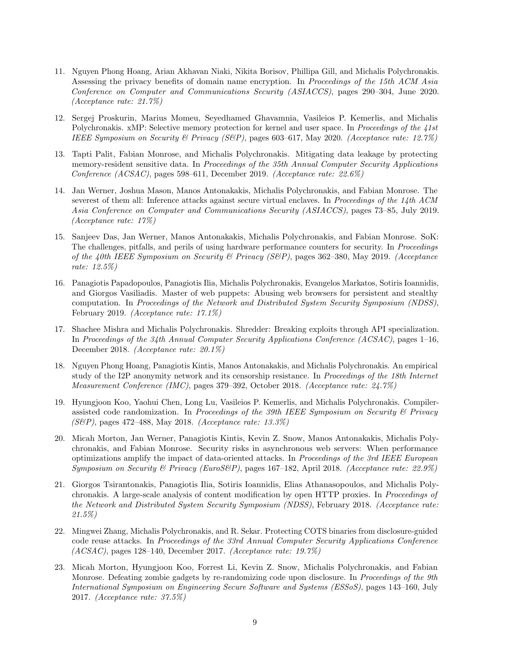- 11. Nguyen Phong Hoang, Arian Akhavan Niaki, Nikita Borisov, Phillipa Gill, and Michalis Polychronakis. Assessing the privacy benefits of domain name encryption. In Proceedings of the 15th ACM Asia Conference on Computer and Communications Security (ASIACCS), pages 290–304, June 2020. (Acceptance rate: 21.7%)
- 12. Sergej Proskurin, Marius Momeu, Seyedhamed Ghavamnia, Vasileios P. Kemerlis, and Michalis Polychronakis. xMP: Selective memory protection for kernel and user space. In Proceedings of the 41st IEEE Symposium on Security & Privacy (S&P), pages 603–617, May 2020. (Acceptance rate: 12.7%)
- 13. Tapti Palit, Fabian Monrose, and Michalis Polychronakis. Mitigating data leakage by protecting memory-resident sensitive data. In Proceedings of the 35th Annual Computer Security Applications Conference (ACSAC), pages 598–611, December 2019. (Acceptance rate: 22.6%)
- 14. Jan Werner, Joshua Mason, Manos Antonakakis, Michalis Polychronakis, and Fabian Monrose. The severest of them all: Inference attacks against secure virtual enclaves. In Proceedings of the 14th ACM Asia Conference on Computer and Communications Security (ASIACCS), pages 73–85, July 2019. (Acceptance rate: 17%)
- 15. Sanjeev Das, Jan Werner, Manos Antonakakis, Michalis Polychronakis, and Fabian Monrose. SoK: The challenges, pitfalls, and perils of using hardware performance counters for security. In Proceedings of the 40th IEEE Symposium on Security & Privacy (S&P), pages 362–380, May 2019. (Acceptance rate: 12.5%)
- 16. Panagiotis Papadopoulos, Panagiotis Ilia, Michalis Polychronakis, Evangelos Markatos, Sotiris Ioannidis, and Giorgos Vasiliadis. Master of web puppets: Abusing web browsers for persistent and stealthy computation. In Proceedings of the Network and Distributed System Security Symposium (NDSS), February 2019. (Acceptance rate: 17.1%)
- 17. Shachee Mishra and Michalis Polychronakis. Shredder: Breaking exploits through API specialization. In Proceedings of the 34th Annual Computer Security Applications Conference (ACSAC), pages 1–16, December 2018. (Acceptance rate: 20.1%)
- 18. Nguyen Phong Hoang, Panagiotis Kintis, Manos Antonakakis, and Michalis Polychronakis. An empirical study of the I2P anonymity network and its censorship resistance. In Proceedings of the 18th Internet Measurement Conference (IMC), pages 379–392, October 2018. (Acceptance rate: 24.7%)
- 19. Hyungjoon Koo, Yaohui Chen, Long Lu, Vasileios P. Kemerlis, and Michalis Polychronakis. Compilerassisted code randomization. In Proceedings of the 39th IEEE Symposium on Security  $\mathcal B$  Privacy (S&P), pages 472–488, May 2018. (Acceptance rate: 13.3%)
- 20. Micah Morton, Jan Werner, Panagiotis Kintis, Kevin Z. Snow, Manos Antonakakis, Michalis Polychronakis, and Fabian Monrose. Security risks in asynchronous web servers: When performance optimizations amplify the impact of data-oriented attacks. In Proceedings of the 3rd IEEE European Symposium on Security & Privacy (EuroS&P), pages  $167-182$ , April 2018. (Acceptance rate: 22.9%)
- 21. Giorgos Tsirantonakis, Panagiotis Ilia, Sotiris Ioannidis, Elias Athanasopoulos, and Michalis Polychronakis. A large-scale analysis of content modification by open HTTP proxies. In Proceedings of the Network and Distributed System Security Symposium (NDSS), February 2018. (Acceptance rate: 21.5%)
- 22. Mingwei Zhang, Michalis Polychronakis, and R. Sekar. Protecting COTS binaries from disclosure-guided code reuse attacks. In Proceedings of the 33rd Annual Computer Security Applications Conference (ACSAC), pages 128–140, December 2017. (Acceptance rate: 19.7%)
- 23. Micah Morton, Hyungjoon Koo, Forrest Li, Kevin Z. Snow, Michalis Polychronakis, and Fabian Monrose. Defeating zombie gadgets by re-randomizing code upon disclosure. In *Proceedings of the 9th* International Symposium on Engineering Secure Software and Systems (ESSoS), pages 143–160, July 2017. (Acceptance rate: 37.5%)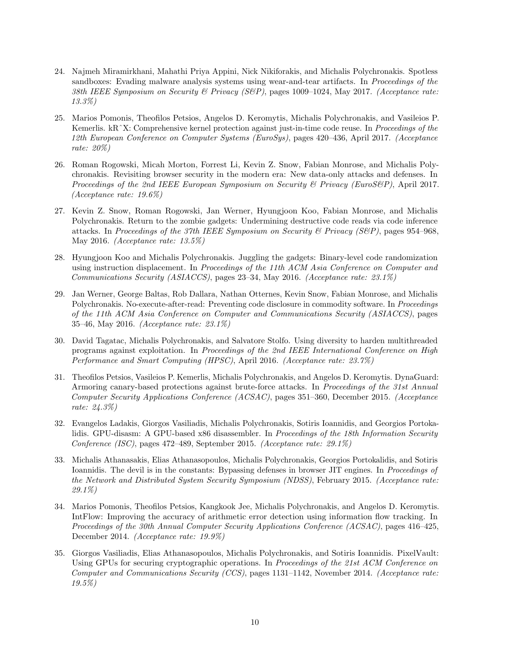- 24. Najmeh Miramirkhani, Mahathi Priya Appini, Nick Nikiforakis, and Michalis Polychronakis. Spotless sandboxes: Evading malware analysis systems using wear-and-tear artifacts. In Proceedings of the 38th IEEE Symposium on Security & Privacy (S&P), pages 1009-1024, May 2017. (Acceptance rate: 13.3%)
- 25. Marios Pomonis, Theofilos Petsios, Angelos D. Keromytis, Michalis Polychronakis, and Vasileios P. Kemerlis. kR<sup> $\hat{X}$ </sup>X: Comprehensive kernel protection against just-in-time code reuse. In *Proceedings of the* 12th European Conference on Computer Systems (EuroSys), pages 420–436, April 2017. (Acceptance rate: 20%)
- 26. Roman Rogowski, Micah Morton, Forrest Li, Kevin Z. Snow, Fabian Monrose, and Michalis Polychronakis. Revisiting browser security in the modern era: New data-only attacks and defenses. In Proceedings of the 2nd IEEE European Symposium on Security  $\mathcal B$  Privacy (EuroS $\mathcal B$ P), April 2017. (Acceptance rate: 19.6%)
- 27. Kevin Z. Snow, Roman Rogowski, Jan Werner, Hyungjoon Koo, Fabian Monrose, and Michalis Polychronakis. Return to the zombie gadgets: Undermining destructive code reads via code inference attacks. In Proceedings of the 37th IEEE Symposium on Security & Privacy (S&P), pages 954–968, May 2016. (Acceptance rate: 13.5%)
- 28. Hyungjoon Koo and Michalis Polychronakis. Juggling the gadgets: Binary-level code randomization using instruction displacement. In Proceedings of the 11th ACM Asia Conference on Computer and Communications Security (ASIACCS), pages 23–34, May 2016. (Acceptance rate: 23.1%)
- 29. Jan Werner, George Baltas, Rob Dallara, Nathan Otternes, Kevin Snow, Fabian Monrose, and Michalis Polychronakis. No-execute-after-read: Preventing code disclosure in commodity software. In Proceedings of the 11th ACM Asia Conference on Computer and Communications Security (ASIACCS), pages 35–46, May 2016. (Acceptance rate: 23.1%)
- 30. David Tagatac, Michalis Polychronakis, and Salvatore Stolfo. Using diversity to harden multithreaded programs against exploitation. In Proceedings of the 2nd IEEE International Conference on High Performance and Smart Computing (HPSC), April 2016. (Acceptance rate: 23.7%)
- 31. Theofilos Petsios, Vasileios P. Kemerlis, Michalis Polychronakis, and Angelos D. Keromytis. DynaGuard: Armoring canary-based protections against brute-force attacks. In Proceedings of the 31st Annual Computer Security Applications Conference (ACSAC), pages 351–360, December 2015. (Acceptance rate: 24.3%)
- 32. Evangelos Ladakis, Giorgos Vasiliadis, Michalis Polychronakis, Sotiris Ioannidis, and Georgios Portokalidis. GPU-disasm: A GPU-based x86 disassembler. In Proceedings of the 18th Information Security Conference (ISC), pages 472–489, September 2015. (Acceptance rate: 29.1%)
- 33. Michalis Athanasakis, Elias Athanasopoulos, Michalis Polychronakis, Georgios Portokalidis, and Sotiris Ioannidis. The devil is in the constants: Bypassing defenses in browser JIT engines. In *Proceedings of* the Network and Distributed System Security Symposium (NDSS), February 2015. (Acceptance rate: 29.1%)
- 34. Marios Pomonis, Theofilos Petsios, Kangkook Jee, Michalis Polychronakis, and Angelos D. Keromytis. IntFlow: Improving the accuracy of arithmetic error detection using information flow tracking. In Proceedings of the 30th Annual Computer Security Applications Conference (ACSAC), pages 416–425, December 2014. (Acceptance rate: 19.9%)
- 35. Giorgos Vasiliadis, Elias Athanasopoulos, Michalis Polychronakis, and Sotiris Ioannidis. PixelVault: Using GPUs for securing cryptographic operations. In Proceedings of the 21st ACM Conference on Computer and Communications Security (CCS), pages 1131–1142, November 2014. (Acceptance rate: 19.5%)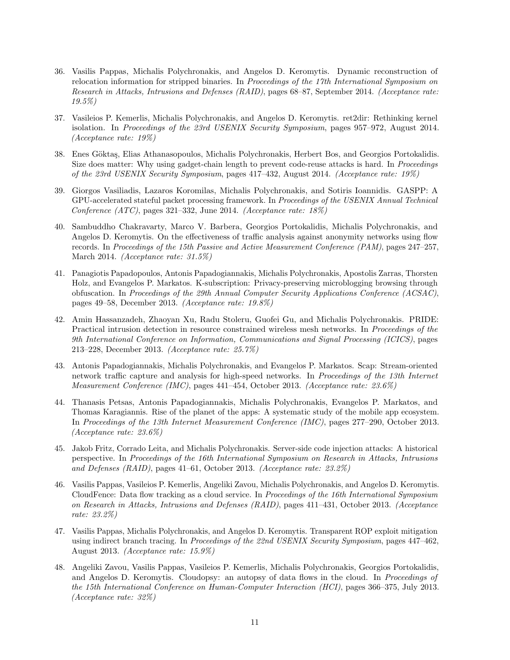- 36. Vasilis Pappas, Michalis Polychronakis, and Angelos D. Keromytis. Dynamic reconstruction of relocation information for stripped binaries. In *Proceedings of the 17th International Symposium on* Research in Attacks, Intrusions and Defenses (RAID), pages 68–87, September 2014. (Acceptance rate: 19.5%)
- 37. Vasileios P. Kemerlis, Michalis Polychronakis, and Angelos D. Keromytis. ret2dir: Rethinking kernel isolation. In Proceedings of the 23rd USENIX Security Symposium, pages 957–972, August 2014. (Acceptance rate: 19%)
- 38. Enes Göktaş, Elias Athanasopoulos, Michalis Polychronakis, Herbert Bos, and Georgios Portokalidis. Size does matter: Why using gadget-chain length to prevent code-reuse attacks is hard. In Proceedings of the 23rd USENIX Security Symposium, pages 417–432, August 2014. (Acceptance rate: 19%)
- 39. Giorgos Vasiliadis, Lazaros Koromilas, Michalis Polychronakis, and Sotiris Ioannidis. GASPP: A GPU-accelerated stateful packet processing framework. In Proceedings of the USENIX Annual Technical Conference (ATC), pages 321–332, June 2014. (Acceptance rate: 18%)
- 40. Sambuddho Chakravarty, Marco V. Barbera, Georgios Portokalidis, Michalis Polychronakis, and Angelos D. Keromytis. On the effectiveness of traffic analysis against anonymity networks using flow records. In Proceedings of the 15th Passive and Active Measurement Conference (PAM), pages 247–257, March 2014. (Acceptance rate: 31.5%)
- 41. Panagiotis Papadopoulos, Antonis Papadogiannakis, Michalis Polychronakis, Apostolis Zarras, Thorsten Holz, and Evangelos P. Markatos. K-subscription: Privacy-preserving microblogging browsing through obfuscation. In Proceedings of the 29th Annual Computer Security Applications Conference (ACSAC), pages 49–58, December 2013. (Acceptance rate: 19.8%)
- 42. Amin Hassanzadeh, Zhaoyan Xu, Radu Stoleru, Guofei Gu, and Michalis Polychronakis. PRIDE: Practical intrusion detection in resource constrained wireless mesh networks. In Proceedings of the 9th International Conference on Information, Communications and Signal Processing (ICICS), pages 213–228, December 2013. (Acceptance rate: 25.7%)
- 43. Antonis Papadogiannakis, Michalis Polychronakis, and Evangelos P. Markatos. Scap: Stream-oriented network traffic capture and analysis for high-speed networks. In Proceedings of the 13th Internet Measurement Conference (IMC), pages 441–454, October 2013. (Acceptance rate: 23.6%)
- 44. Thanasis Petsas, Antonis Papadogiannakis, Michalis Polychronakis, Evangelos P. Markatos, and Thomas Karagiannis. Rise of the planet of the apps: A systematic study of the mobile app ecosystem. In Proceedings of the 13th Internet Measurement Conference (IMC), pages 277–290, October 2013. (Acceptance rate: 23.6%)
- 45. Jakob Fritz, Corrado Leita, and Michalis Polychronakis. Server-side code injection attacks: A historical perspective. In Proceedings of the 16th International Symposium on Research in Attacks, Intrusions and Defenses (RAID), pages 41–61, October 2013. (Acceptance rate: 23.2%)
- 46. Vasilis Pappas, Vasileios P. Kemerlis, Angeliki Zavou, Michalis Polychronakis, and Angelos D. Keromytis. CloudFence: Data flow tracking as a cloud service. In Proceedings of the 16th International Symposium on Research in Attacks, Intrusions and Defenses (RAID), pages 411–431, October 2013. (Acceptance rate: 23.2%)
- 47. Vasilis Pappas, Michalis Polychronakis, and Angelos D. Keromytis. Transparent ROP exploit mitigation using indirect branch tracing. In Proceedings of the 22nd USENIX Security Symposium, pages 447–462, August 2013. (Acceptance rate: 15.9%)
- 48. Angeliki Zavou, Vasilis Pappas, Vasileios P. Kemerlis, Michalis Polychronakis, Georgios Portokalidis, and Angelos D. Keromytis. Cloudopsy: an autopsy of data flows in the cloud. In *Proceedings of* the 15th International Conference on Human-Computer Interaction (HCI), pages 366–375, July 2013. (Acceptance rate: 32%)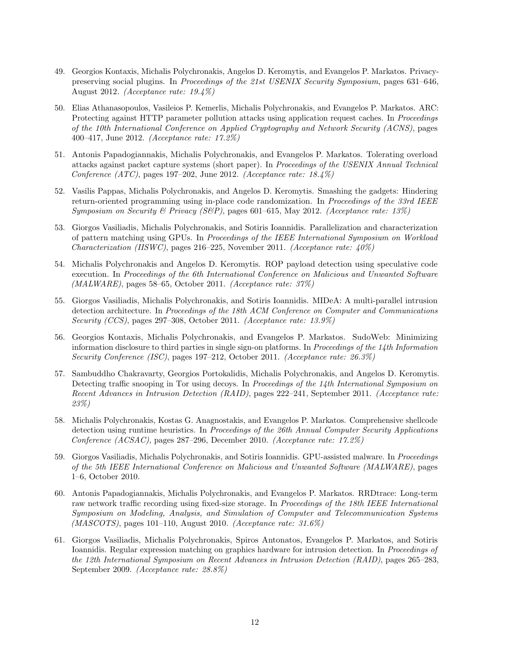- 49. Georgios Kontaxis, Michalis Polychronakis, Angelos D. Keromytis, and Evangelos P. Markatos. Privacypreserving social plugins. In Proceedings of the 21st USENIX Security Symposium, pages 631–646, August 2012. (Acceptance rate: 19.4%)
- 50. Elias Athanasopoulos, Vasileios P. Kemerlis, Michalis Polychronakis, and Evangelos P. Markatos. ARC: Protecting against HTTP parameter pollution attacks using application request caches. In Proceedings of the 10th International Conference on Applied Cryptography and Network Security (ACNS), pages 400–417, June 2012. (Acceptance rate: 17.2%)
- 51. Antonis Papadogiannakis, Michalis Polychronakis, and Evangelos P. Markatos. Tolerating overload attacks against packet capture systems (short paper). In Proceedings of the USENIX Annual Technical Conference (ATC), pages 197–202, June 2012. (Acceptance rate:  $18.4\%$ )
- 52. Vasilis Pappas, Michalis Polychronakis, and Angelos D. Keromytis. Smashing the gadgets: Hindering return-oriented programming using in-place code randomization. In Proceedings of the 33rd IEEE Symposium on Security & Privacy (S&P), pages 601–615, May 2012. (Acceptance rate: 13%)
- 53. Giorgos Vasiliadis, Michalis Polychronakis, and Sotiris Ioannidis. Parallelization and characterization of pattern matching using GPUs. In Proceedings of the IEEE International Symposium on Workload Characterization (IISWC), pages 216–225, November 2011. (Acceptance rate: 40%)
- 54. Michalis Polychronakis and Angelos D. Keromytis. ROP payload detection using speculative code execution. In Proceedings of the 6th International Conference on Malicious and Unwanted Software (MALWARE), pages 58–65, October 2011. (Acceptance rate: 37%)
- 55. Giorgos Vasiliadis, Michalis Polychronakis, and Sotiris Ioannidis. MIDeA: A multi-parallel intrusion detection architecture. In Proceedings of the 18th ACM Conference on Computer and Communications Security (CCS), pages 297–308, October 2011. (Acceptance rate: 13.9%)
- 56. Georgios Kontaxis, Michalis Polychronakis, and Evangelos P. Markatos. SudoWeb: Minimizing information disclosure to third parties in single sign-on platforms. In Proceedings of the 14th Information Security Conference (ISC), pages 197–212, October 2011. (Acceptance rate: 26.3%)
- 57. Sambuddho Chakravarty, Georgios Portokalidis, Michalis Polychronakis, and Angelos D. Keromytis. Detecting traffic snooping in Tor using decoys. In Proceedings of the 14th International Symposium on Recent Advances in Intrusion Detection (RAID), pages 222–241, September 2011. (Acceptance rate: 23%)
- 58. Michalis Polychronakis, Kostas G. Anagnostakis, and Evangelos P. Markatos. Comprehensive shellcode detection using runtime heuristics. In Proceedings of the 26th Annual Computer Security Applications Conference (ACSAC), pages 287–296, December 2010. (Acceptance rate: 17.2%)
- 59. Giorgos Vasiliadis, Michalis Polychronakis, and Sotiris Ioannidis. GPU-assisted malware. In Proceedings of the 5th IEEE International Conference on Malicious and Unwanted Software (MALWARE), pages 1–6, October 2010.
- 60. Antonis Papadogiannakis, Michalis Polychronakis, and Evangelos P. Markatos. RRDtrace: Long-term raw network traffic recording using fixed-size storage. In *Proceedings of the 18th IEEE International* Symposium on Modeling, Analysis, and Simulation of Computer and Telecommunication Systems (MASCOTS), pages 101–110, August 2010. (Acceptance rate: 31.6%)
- 61. Giorgos Vasiliadis, Michalis Polychronakis, Spiros Antonatos, Evangelos P. Markatos, and Sotiris Ioannidis. Regular expression matching on graphics hardware for intrusion detection. In Proceedings of the 12th International Symposium on Recent Advances in Intrusion Detection (RAID), pages 265–283, September 2009. (Acceptance rate: 28.8%)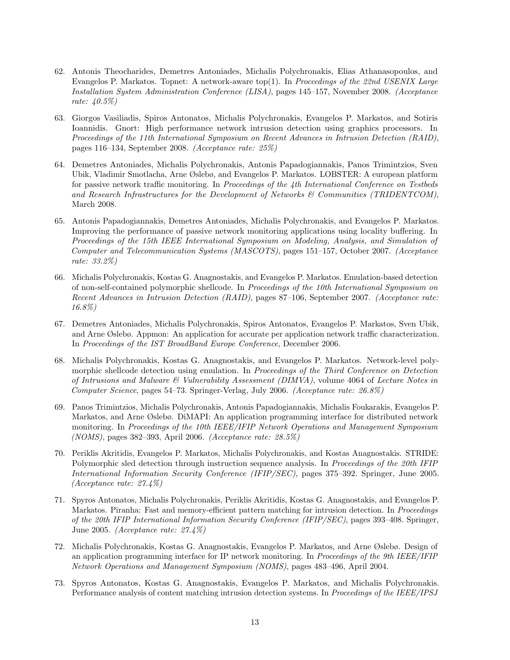- 62. Antonis Theocharides, Demetres Antoniades, Michalis Polychronakis, Elias Athanasopoulos, and Evangelos P. Markatos. Topnet: A network-aware top(1). In Proceedings of the 22nd USENIX Large Installation System Administration Conference (LISA), pages 145–157, November 2008. (Acceptance rate: 40.5%)
- 63. Giorgos Vasiliadis, Spiros Antonatos, Michalis Polychronakis, Evangelos P. Markatos, and Sotiris Ioannidis. Gnort: High performance network intrusion detection using graphics processors. In Proceedings of the 11th International Symposium on Recent Advances in Intrusion Detection (RAID), pages 116–134, September 2008. (Acceptance rate: 25%)
- 64. Demetres Antoniades, Michalis Polychronakis, Antonis Papadogiannakis, Panos Trimintzios, Sven Ubik, Vladimir Smotlacha, Arne Øslebø, and Evangelos P. Markatos. LOBSTER: A european platform for passive network traffic monitoring. In Proceedings of the 4th International Conference on Testbeds and Research Infrastructures for the Development of Networks & Communities (TRIDENTCOM), March 2008.
- 65. Antonis Papadogiannakis, Demetres Antoniades, Michalis Polychronakis, and Evangelos P. Markatos. Improving the performance of passive network monitoring applications using locality buffering. In Proceedings of the 15th IEEE International Symposium on Modeling, Analysis, and Simulation of Computer and Telecommunication Systems (MASCOTS), pages 151–157, October 2007. (Acceptance rate: 33.2%)
- 66. Michalis Polychronakis, Kostas G. Anagnostakis, and Evangelos P. Markatos. Emulation-based detection of non-self-contained polymorphic shellcode. In Proceedings of the 10th International Symposium on Recent Advances in Intrusion Detection (RAID), pages 87–106, September 2007. (Acceptance rate: 16.8%)
- 67. Demetres Antoniades, Michalis Polychronakis, Spiros Antonatos, Evangelos P. Markatos, Sven Ubik, and Arne Øslebø. Appmon: An application for accurate per application network traffic characterization. In Proceedings of the IST BroadBand Europe Conference, December 2006.
- 68. Michalis Polychronakis, Kostas G. Anagnostakis, and Evangelos P. Markatos. Network-level polymorphic shellcode detection using emulation. In Proceedings of the Third Conference on Detection of Intrusions and Malware  $\mathcal C$  Vulnerability Assessment (DIMVA), volume 4064 of Lecture Notes in Computer Science, pages 54–73. Springer-Verlag, July 2006. (Acceptance rate: 26.8%)
- 69. Panos Trimintzios, Michalis Polychronakis, Antonis Papadogiannakis, Michalis Foukarakis, Evangelos P. Markatos, and Arne Øslebø. DiMAPI: An application programming interface for distributed network monitoring. In Proceedings of the 10th IEEE/IFIP Network Operations and Management Symposium (NOMS), pages 382–393, April 2006. (Acceptance rate: 28.5%)
- 70. Periklis Akritidis, Evangelos P. Markatos, Michalis Polychronakis, and Kostas Anagnostakis. STRIDE: Polymorphic sled detection through instruction sequence analysis. In Proceedings of the 20th IFIP International Information Security Conference (IFIP/SEC), pages 375–392. Springer, June 2005. (Acceptance rate: 27.4%)
- 71. Spyros Antonatos, Michalis Polychronakis, Periklis Akritidis, Kostas G. Anagnostakis, and Evangelos P. Markatos. Piranha: Fast and memory-efficient pattern matching for intrusion detection. In *Proceedings* of the 20th IFIP International Information Security Conference (IFIP/SEC), pages 393–408. Springer, June 2005. (Acceptance rate: 27.4%)
- 72. Michalis Polychronakis, Kostas G. Anagnostakis, Evangelos P. Markatos, and Arne Øslebø. Design of an application programming interface for IP network monitoring. In Proceedings of the 9th IEEE/IFIP Network Operations and Management Symposium (NOMS), pages 483–496, April 2004.
- 73. Spyros Antonatos, Kostas G. Anagnostakis, Evangelos P. Markatos, and Michalis Polychronakis. Performance analysis of content matching intrusion detection systems. In Proceedings of the IEEE/IPSJ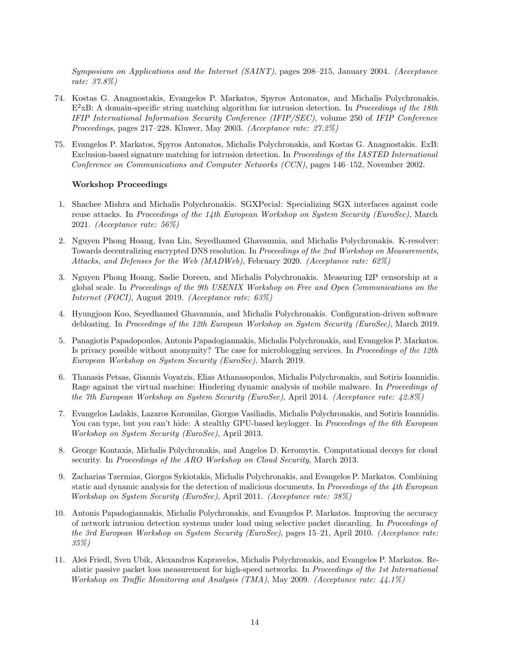Symposium on Applications and the Internet (SAINT), pages 208–215, January 2004. (Acceptance rate: 37.8%)

- 74. Kostas G. Anagnostakis, Evangelos P. Markatos, Spyros Antonatos, and Michalis Polychronakis.  $E^2$ xB: A domain-specific string matching algorithm for intrusion detection. In Proceedings of the 18th IFIP International Information Security Conference (IFIP/SEC), volume 250 of IFIP Conference Proceedings, pages 217–228. Kluwer, May 2003. (Acceptance rate: 27.2%)
- 75. Evangelos P. Markatos, Spyros Antonatos, Michalis Polychronakis, and Kostas G. Anagnostakis. ExB: Exclusion-based signature matching for intrusion detection. In Proceedings of the IASTED International Conference on Communications and Computer Networks (CCN), pages 146–152, November 2002.

#### Workshop Proceedings

- 1. Shachee Mishra and Michalis Polychronakis. SGXPecial: Specializing SGX interfaces against code reuse attacks. In Proceedings of the 14th European Workshop on System Security (EuroSec), March 2021. (Acceptance rate: 56%)
- 2. Nguyen Phong Hoang, Ivan Lin, Seyedhamed Ghavamnia, and Michalis Polychronakis. K-resolver: Towards decentralizing encrypted DNS resolution. In Proceedings of the 2nd Workshop on Measurements, Attacks, and Defenses for the Web (MADWeb), February 2020. (Acceptance rate: 62%)
- 3. Nguyen Phong Hoang, Sadie Doreen, and Michalis Polychronakis. Measuring I2P censorship at a global scale. In Proceedings of the 9th USENIX Workshop on Free and Open Communications on the Internet (FOCI), August 2019. (Acceptance rate: 63%)
- 4. Hyungjoon Koo, Seyedhamed Ghavamnia, and Michalis Polychronakis. Configuration-driven software debloating. In Proceedings of the 12th European Workshop on System Security (EuroSec), March 2019.
- 5. Panagiotis Papadopoulos, Antonis Papadogiannakis, Michalis Polychronakis, and Evangelos P. Markatos. Is privacy possible without anonymity? The case for microblogging services. In Proceedings of the 12th European Workshop on System Security (EuroSec), March 2019.
- 6. Thanasis Petsas, Giannis Voyatzis, Elias Athanasopoulos, Michalis Polychronakis, and Sotiris Ioannidis. Rage against the virtual machine: Hindering dynamic analysis of mobile malware. In Proceedings of the 7th European Workshop on System Security (EuroSec), April 2014. (Acceptance rate: 42.8%)
- 7. Evangelos Ladakis, Lazaros Koromilas, Giorgos Vasiliadis, Michalis Polychronakis, and Sotiris Ioannidis. You can type, but you can't hide: A stealthy GPU-based keylogger. In *Proceedings of the 6th European* Workshop on System Security (EuroSec), April 2013.
- 8. George Kontaxis, Michalis Polychronakis, and Angelos D. Keromytis. Computational decoys for cloud security. In Proceedings of the ARO Workshop on Cloud Security, March 2013.
- 9. Zacharias Tzermias, Giorgos Sykiotakis, Michalis Polychronakis, and Evangelos P. Markatos. Combining static and dynamic analysis for the detection of malicious documents. In Proceedings of the 4th European Workshop on System Security (EuroSec), April 2011. (Acceptance rate: 38%)
- 10. Antonis Papadogiannakis, Michalis Polychronakis, and Evangelos P. Markatos. Improving the accuracy of network intrusion detection systems under load using selective packet discarding. In Proceedings of the 3rd European Workshop on System Security (EuroSec), pages 15–21, April 2010. (Acceptance rate: 35%)
- 11. Aleˇs Friedl, Sven Ubik, Alexandros Kapravelos, Michalis Polychronakis, and Evangelos P. Markatos. Realistic passive packet loss measurement for high-speed networks. In Proceedings of the 1st International Workshop on Traffic Monitoring and Analysis (TMA), May 2009. (Acceptance rate: 44.1%)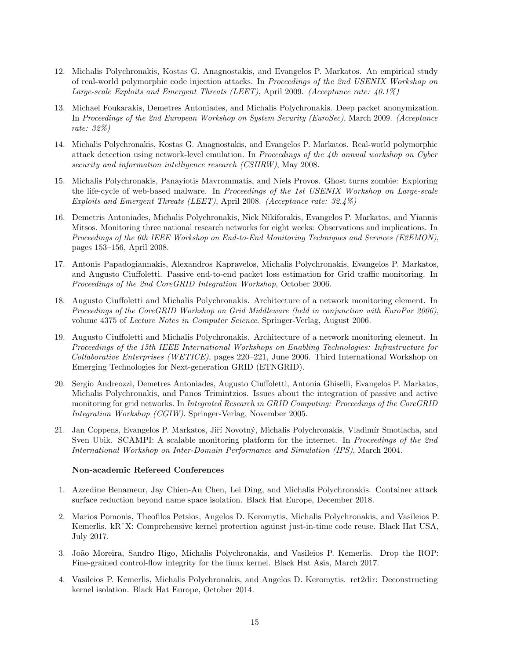- 12. Michalis Polychronakis, Kostas G. Anagnostakis, and Evangelos P. Markatos. An empirical study of real-world polymorphic code injection attacks. In Proceedings of the 2nd USENIX Workshop on Large-scale Exploits and Emergent Threats (LEET), April 2009. (Acceptance rate: 40.1%)
- 13. Michael Foukarakis, Demetres Antoniades, and Michalis Polychronakis. Deep packet anonymization. In Proceedings of the 2nd European Workshop on System Security (EuroSec), March 2009. (Acceptance rate: 32%)
- 14. Michalis Polychronakis, Kostas G. Anagnostakis, and Evangelos P. Markatos. Real-world polymorphic attack detection using network-level emulation. In Proceedings of the 4th annual workshop on Cyber security and information intelligence research *(CSIIRW)*, May 2008.
- 15. Michalis Polychronakis, Panayiotis Mavrommatis, and Niels Provos. Ghost turns zombie: Exploring the life-cycle of web-based malware. In *Proceedings of the 1st USENIX Workshop on Large-scale* Exploits and Emergent Threats (LEET), April 2008. (Acceptance rate: 32.4%)
- 16. Demetris Antoniades, Michalis Polychronakis, Nick Nikiforakis, Evangelos P. Markatos, and Yiannis Mitsos. Monitoring three national research networks for eight weeks: Observations and implications. In Proceedings of the 6th IEEE Workshop on End-to-End Monitoring Techniques and Services (E2EMON), pages 153–156, April 2008.
- 17. Antonis Papadogiannakis, Alexandros Kapravelos, Michalis Polychronakis, Evangelos P. Markatos, and Augusto Ciuffoletti. Passive end-to-end packet loss estimation for Grid traffic monitoring. In Proceedings of the 2nd CoreGRID Integration Workshop, October 2006.
- 18. Augusto Ciuffoletti and Michalis Polychronakis. Architecture of a network monitoring element. In Proceedings of the CoreGRID Workshop on Grid Middleware (held in conjunction with EuroPar 2006), volume 4375 of Lecture Notes in Computer Science. Springer-Verlag, August 2006.
- 19. Augusto Ciuffoletti and Michalis Polychronakis. Architecture of a network monitoring element. In Proceedings of the 15th IEEE International Workshops on Enabling Technologies: Infrastructure for Collaborative Enterprises (WETICE), pages 220–221, June 2006. Third International Workshop on Emerging Technologies for Next-generation GRID (ETNGRID).
- 20. Sergio Andreozzi, Demetres Antoniades, Augusto Ciuffoletti, Antonia Ghiselli, Evangelos P. Markatos, Michalis Polychronakis, and Panos Trimintzios. Issues about the integration of passive and active monitoring for grid networks. In *Integrated Research in GRID Computing: Proceedings of the CoreGRID* Integration Workshop (CGIW). Springer-Verlag, November 2005.
- 21. Jan Coppens, Evangelos P. Markatos, Jiří Novotný, Michalis Polychronakis, Vladimír Smotlacha, and Sven Ubik. SCAMPI: A scalable monitoring platform for the internet. In Proceedings of the 2nd International Workshop on Inter-Domain Performance and Simulation (IPS), March 2004.

#### Non-academic Refereed Conferences

- 1. Azzedine Benameur, Jay Chien-An Chen, Lei Ding, and Michalis Polychronakis. Container attack surface reduction beyond name space isolation. Black Hat Europe, December 2018.
- 2. Marios Pomonis, Theofilos Petsios, Angelos D. Keromytis, Michalis Polychronakis, and Vasileios P. Kemerlis. kRˆX: Comprehensive kernel protection against just-in-time code reuse. Black Hat USA, July 2017.
- 3. João Moreira, Sandro Rigo, Michalis Polychronakis, and Vasileios P. Kemerlis. Drop the ROP: Fine-grained control-flow integrity for the linux kernel. Black Hat Asia, March 2017.
- 4. Vasileios P. Kemerlis, Michalis Polychronakis, and Angelos D. Keromytis. ret2dir: Deconstructing kernel isolation. Black Hat Europe, October 2014.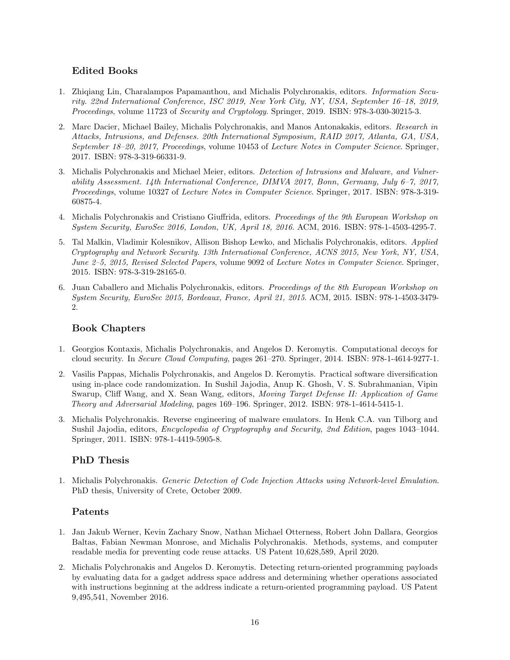# Edited Books

- 1. Zhiqiang Lin, Charalampos Papamanthou, and Michalis Polychronakis, editors. Information Security. 22nd International Conference, ISC 2019, New York City, NY, USA, September 16–18, 2019, Proceedings, volume 11723 of Security and Cryptology. Springer, 2019. ISBN: 978-3-030-30215-3.
- 2. Marc Dacier, Michael Bailey, Michalis Polychronakis, and Manos Antonakakis, editors. Research in Attacks, Intrusions, and Defenses. 20th International Symposium, RAID 2017, Atlanta, GA, USA, September 18–20, 2017, Proceedings, volume 10453 of Lecture Notes in Computer Science. Springer, 2017. ISBN: 978-3-319-66331-9.
- 3. Michalis Polychronakis and Michael Meier, editors. Detection of Intrusions and Malware, and Vulnerability Assessment. 14th International Conference, DIMVA 2017, Bonn, Germany, July 6–7, 2017, Proceedings, volume 10327 of Lecture Notes in Computer Science. Springer, 2017. ISBN: 978-3-319- 60875-4.
- 4. Michalis Polychronakis and Cristiano Giuffrida, editors. Proceedings of the 9th European Workshop on System Security, EuroSec 2016, London, UK, April 18, 2016. ACM, 2016. ISBN: 978-1-4503-4295-7.
- 5. Tal Malkin, Vladimir Kolesnikov, Allison Bishop Lewko, and Michalis Polychronakis, editors. Applied Cryptography and Network Security. 13th International Conference, ACNS 2015, New York, NY, USA, June 2–5, 2015, Revised Selected Papers, volume 9092 of Lecture Notes in Computer Science. Springer, 2015. ISBN: 978-3-319-28165-0.
- 6. Juan Caballero and Michalis Polychronakis, editors. Proceedings of the 8th European Workshop on System Security, EuroSec 2015, Bordeaux, France, April 21, 2015. ACM, 2015. ISBN: 978-1-4503-3479- 2.

# Book Chapters

- 1. Georgios Kontaxis, Michalis Polychronakis, and Angelos D. Keromytis. Computational decoys for cloud security. In Secure Cloud Computing, pages 261–270. Springer, 2014. ISBN: 978-1-4614-9277-1.
- 2. Vasilis Pappas, Michalis Polychronakis, and Angelos D. Keromytis. Practical software diversification using in-place code randomization. In Sushil Jajodia, Anup K. Ghosh, V. S. Subrahmanian, Vipin Swarup, Cliff Wang, and X. Sean Wang, editors, Moving Target Defense II: Application of Game Theory and Adversarial Modeling, pages 169–196. Springer, 2012. ISBN: 978-1-4614-5415-1.
- 3. Michalis Polychronakis. Reverse engineering of malware emulators. In Henk C.A. van Tilborg and Sushil Jajodia, editors, Encyclopedia of Cryptography and Security, 2nd Edition, pages 1043–1044. Springer, 2011. ISBN: 978-1-4419-5905-8.

# PhD Thesis

1. Michalis Polychronakis. Generic Detection of Code Injection Attacks using Network-level Emulation. PhD thesis, University of Crete, October 2009.

# Patents

- 1. Jan Jakub Werner, Kevin Zachary Snow, Nathan Michael Otterness, Robert John Dallara, Georgios Baltas, Fabian Newman Monrose, and Michalis Polychronakis. Methods, systems, and computer readable media for preventing code reuse attacks. US Patent 10,628,589, April 2020.
- 2. Michalis Polychronakis and Angelos D. Keromytis. Detecting return-oriented programming payloads by evaluating data for a gadget address space address and determining whether operations associated with instructions beginning at the address indicate a return-oriented programming payload. US Patent 9,495,541, November 2016.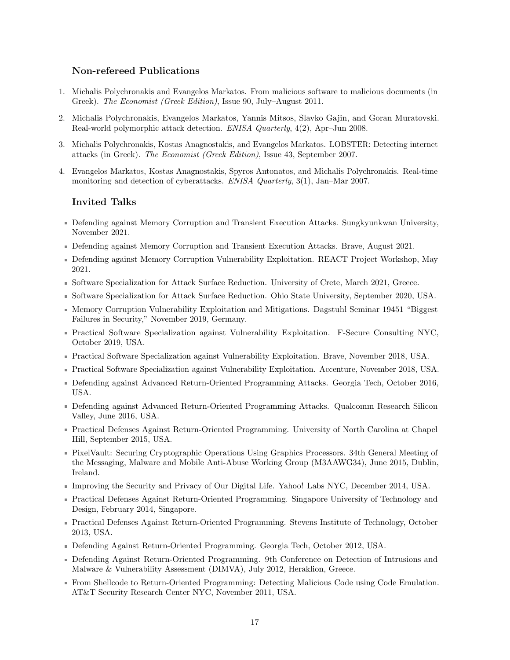## Non-refereed Publications

- 1. Michalis Polychronakis and Evangelos Markatos. From malicious software to malicious documents (in Greek). The Economist (Greek Edition), Issue 90, July–August 2011.
- 2. Michalis Polychronakis, Evangelos Markatos, Yannis Mitsos, Slavko Gajin, and Goran Muratovski. Real-world polymorphic attack detection. ENISA Quarterly, 4(2), Apr–Jun 2008.
- 3. Michalis Polychronakis, Kostas Anagnostakis, and Evangelos Markatos. LOBSTER: Detecting internet attacks (in Greek). The Economist (Greek Edition), Issue 43, September 2007.
- 4. Evangelos Markatos, Kostas Anagnostakis, Spyros Antonatos, and Michalis Polychronakis. Real-time monitoring and detection of cyberattacks. ENISA Quarterly, 3(1), Jan–Mar 2007.

## Invited Talks

- Defending against Memory Corruption and Transient Execution Attacks. Sungkyunkwan University, November 2021.
- Defending against Memory Corruption and Transient Execution Attacks. Brave, August 2021.
- Defending against Memory Corruption Vulnerability Exploitation. REACT Project Workshop, May 2021.
- Software Specialization for Attack Surface Reduction. University of Crete, March 2021, Greece.
- Software Specialization for Attack Surface Reduction. Ohio State University, September 2020, USA.
- **Memory Corruption Vulnerability Exploitation and Mitigations. Dagstuhl Seminar 19451 "Biggest**" Failures in Security," November 2019, Germany.
- Practical Software Specialization against Vulnerability Exploitation. F-Secure Consulting NYC, October 2019, USA.
- Practical Software Specialization against Vulnerability Exploitation. Brave, November 2018, USA.
- Practical Software Specialization against Vulnerability Exploitation. Accenture, November 2018, USA.
- Defending against Advanced Return-Oriented Programming Attacks. Georgia Tech, October 2016, USA.
- Defending against Advanced Return-Oriented Programming Attacks. Qualcomm Research Silicon Valley, June 2016, USA.
- Practical Defenses Against Return-Oriented Programming. University of North Carolina at Chapel Hill, September 2015, USA.
- PixelVault: Securing Cryptographic Operations Using Graphics Processors. 34th General Meeting of the Messaging, Malware and Mobile Anti-Abuse Working Group (M3AAWG34), June 2015, Dublin, Ireland.
- Improving the Security and Privacy of Our Digital Life. Yahoo! Labs NYC, December 2014, USA.
- Practical Defenses Against Return-Oriented Programming. Singapore University of Technology and Design, February 2014, Singapore.
- Practical Defenses Against Return-Oriented Programming. Stevens Institute of Technology, October 2013, USA.
- Defending Against Return-Oriented Programming. Georgia Tech, October 2012, USA.
- Defending Against Return-Oriented Programming. 9th Conference on Detection of Intrusions and Malware & Vulnerability Assessment (DIMVA), July 2012, Heraklion, Greece.
- From Shellcode to Return-Oriented Programming: Detecting Malicious Code using Code Emulation. AT&T Security Research Center NYC, November 2011, USA.